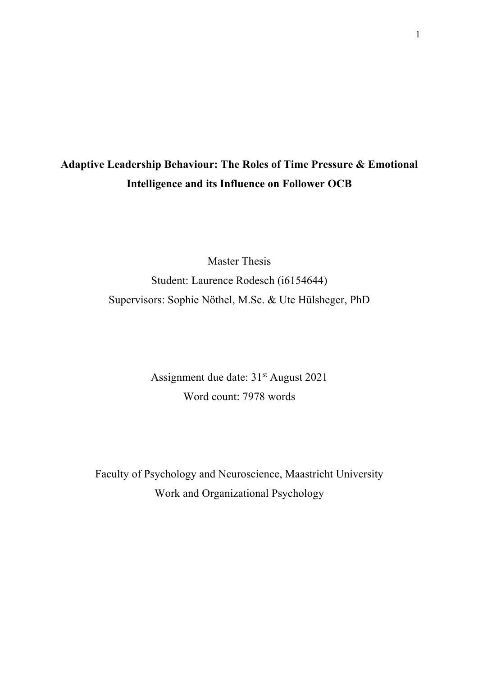# **Adaptive Leadership Behaviour: The Roles of Time Pressure & Emotional Intelligence and its Influence on Follower OCB**

Master Thesis Student: Laurence Rodesch (i6154644) Supervisors: Sophie Nöthel, M.Sc. & Ute Hülsheger, PhD

> Assignment due date: 31<sup>st</sup> August 2021 Word count: 7978 words

Faculty of Psychology and Neuroscience, Maastricht University Work and Organizational Psychology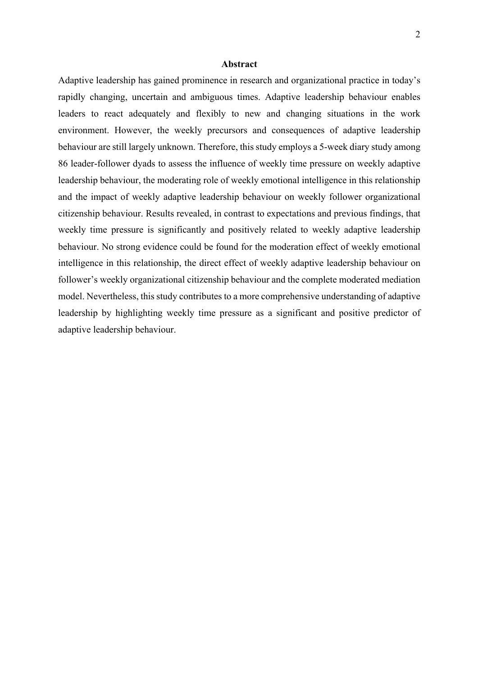## **Abstract**

Adaptive leadership has gained prominence in research and organizational practice in today's rapidly changing, uncertain and ambiguous times. Adaptive leadership behaviour enables leaders to react adequately and flexibly to new and changing situations in the work environment. However, the weekly precursors and consequences of adaptive leadership behaviour are still largely unknown. Therefore, this study employs a 5-week diary study among 86 leader-follower dyads to assess the influence of weekly time pressure on weekly adaptive leadership behaviour, the moderating role of weekly emotional intelligence in this relationship and the impact of weekly adaptive leadership behaviour on weekly follower organizational citizenship behaviour. Results revealed, in contrast to expectations and previous findings, that weekly time pressure is significantly and positively related to weekly adaptive leadership behaviour. No strong evidence could be found for the moderation effect of weekly emotional intelligence in this relationship, the direct effect of weekly adaptive leadership behaviour on follower's weekly organizational citizenship behaviour and the complete moderated mediation model. Nevertheless, this study contributes to a more comprehensive understanding of adaptive leadership by highlighting weekly time pressure as a significant and positive predictor of adaptive leadership behaviour.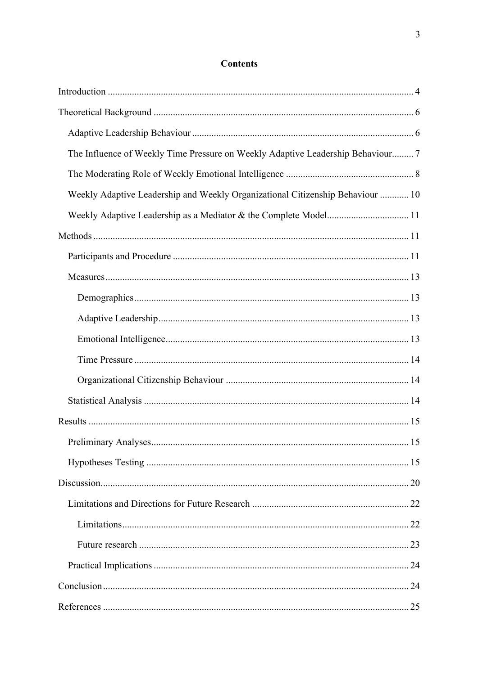# **Contents**

| The Influence of Weekly Time Pressure on Weekly Adaptive Leadership Behaviour 7 |
|---------------------------------------------------------------------------------|
|                                                                                 |
| Weekly Adaptive Leadership and Weekly Organizational Citizenship Behaviour  10  |
| Weekly Adaptive Leadership as a Mediator & the Complete Model 11                |
|                                                                                 |
|                                                                                 |
|                                                                                 |
|                                                                                 |
|                                                                                 |
|                                                                                 |
|                                                                                 |
|                                                                                 |
|                                                                                 |
|                                                                                 |
|                                                                                 |
|                                                                                 |
|                                                                                 |
|                                                                                 |
|                                                                                 |
|                                                                                 |
|                                                                                 |
|                                                                                 |
|                                                                                 |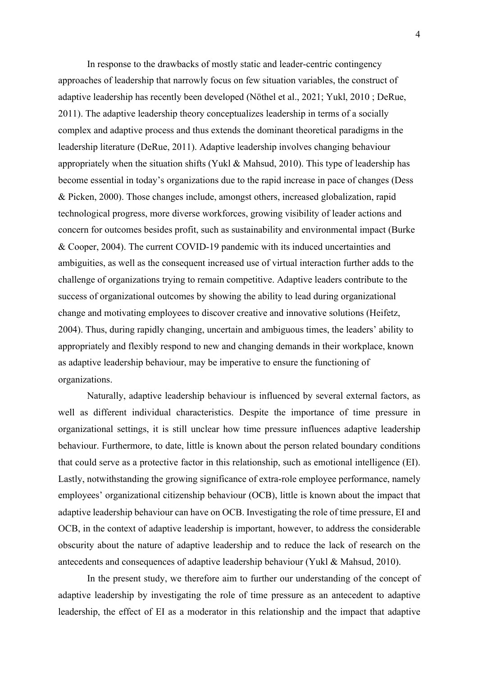In response to the drawbacks of mostly static and leader-centric contingency approaches of leadership that narrowly focus on few situation variables, the construct of adaptive leadership has recently been developed (Nöthel et al., 2021; Yukl, 2010 ; DeRue, 2011). The adaptive leadership theory conceptualizes leadership in terms of a socially complex and adaptive process and thus extends the dominant theoretical paradigms in the leadership literature (DeRue, 2011). Adaptive leadership involves changing behaviour appropriately when the situation shifts (Yukl & Mahsud, 2010). This type of leadership has become essential in today's organizations due to the rapid increase in pace of changes (Dess & Picken, 2000). Those changes include, amongst others, increased globalization, rapid technological progress, more diverse workforces, growing visibility of leader actions and concern for outcomes besides profit, such as sustainability and environmental impact (Burke & Cooper, 2004). The current COVID-19 pandemic with its induced uncertainties and ambiguities, as well as the consequent increased use of virtual interaction further adds to the challenge of organizations trying to remain competitive. Adaptive leaders contribute to the success of organizational outcomes by showing the ability to lead during organizational change and motivating employees to discover creative and innovative solutions (Heifetz, 2004). Thus, during rapidly changing, uncertain and ambiguous times, the leaders' ability to appropriately and flexibly respond to new and changing demands in their workplace, known as adaptive leadership behaviour, may be imperative to ensure the functioning of organizations.

Naturally, adaptive leadership behaviour is influenced by several external factors, as well as different individual characteristics. Despite the importance of time pressure in organizational settings, it is still unclear how time pressure influences adaptive leadership behaviour. Furthermore, to date, little is known about the person related boundary conditions that could serve as a protective factor in this relationship, such as emotional intelligence (EI). Lastly, notwithstanding the growing significance of extra-role employee performance, namely employees' organizational citizenship behaviour (OCB), little is known about the impact that adaptive leadership behaviour can have on OCB. Investigating the role of time pressure, EI and OCB, in the context of adaptive leadership is important, however, to address the considerable obscurity about the nature of adaptive leadership and to reduce the lack of research on the antecedents and consequences of adaptive leadership behaviour (Yukl & Mahsud, 2010).

In the present study, we therefore aim to further our understanding of the concept of adaptive leadership by investigating the role of time pressure as an antecedent to adaptive leadership, the effect of EI as a moderator in this relationship and the impact that adaptive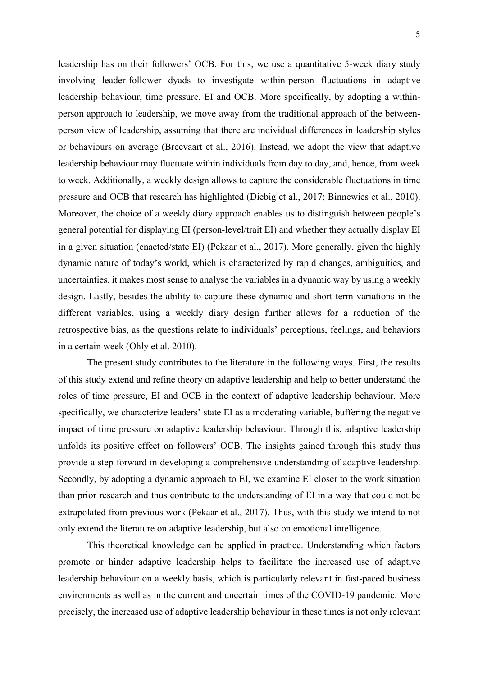leadership has on their followers' OCB. For this, we use a quantitative 5-week diary study involving leader-follower dyads to investigate within-person fluctuations in adaptive leadership behaviour, time pressure, EI and OCB. More specifically, by adopting a withinperson approach to leadership, we move away from the traditional approach of the betweenperson view of leadership, assuming that there are individual differences in leadership styles or behaviours on average (Breevaart et al., 2016). Instead, we adopt the view that adaptive leadership behaviour may fluctuate within individuals from day to day, and, hence, from week to week. Additionally, a weekly design allows to capture the considerable fluctuations in time pressure and OCB that research has highlighted (Diebig et al., 2017; Binnewies et al., 2010). Moreover, the choice of a weekly diary approach enables us to distinguish between people's general potential for displaying EI (person-level/trait EI) and whether they actually display EI in a given situation (enacted/state EI) (Pekaar et al., 2017). More generally, given the highly dynamic nature of today's world, which is characterized by rapid changes, ambiguities, and uncertainties, it makes most sense to analyse the variables in a dynamic way by using a weekly design. Lastly, besides the ability to capture these dynamic and short-term variations in the different variables, using a weekly diary design further allows for a reduction of the retrospective bias, as the questions relate to individuals' perceptions, feelings, and behaviors in a certain week (Ohly et al. 2010).

The present study contributes to the literature in the following ways. First, the results of this study extend and refine theory on adaptive leadership and help to better understand the roles of time pressure, EI and OCB in the context of adaptive leadership behaviour. More specifically, we characterize leaders' state EI as a moderating variable, buffering the negative impact of time pressure on adaptive leadership behaviour. Through this, adaptive leadership unfolds its positive effect on followers' OCB. The insights gained through this study thus provide a step forward in developing a comprehensive understanding of adaptive leadership. Secondly, by adopting a dynamic approach to EI, we examine EI closer to the work situation than prior research and thus contribute to the understanding of EI in a way that could not be extrapolated from previous work (Pekaar et al., 2017). Thus, with this study we intend to not only extend the literature on adaptive leadership, but also on emotional intelligence.

This theoretical knowledge can be applied in practice. Understanding which factors promote or hinder adaptive leadership helps to facilitate the increased use of adaptive leadership behaviour on a weekly basis, which is particularly relevant in fast-paced business environments as well as in the current and uncertain times of the COVID-19 pandemic. More precisely, the increased use of adaptive leadership behaviour in these times is not only relevant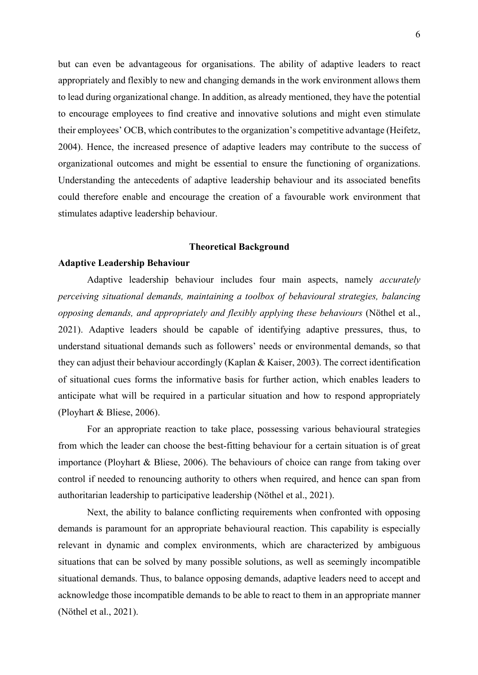but can even be advantageous for organisations. The ability of adaptive leaders to react appropriately and flexibly to new and changing demands in the work environment allows them to lead during organizational change. In addition, as already mentioned, they have the potential to encourage employees to find creative and innovative solutions and might even stimulate their employees' OCB, which contributes to the organization's competitive advantage (Heifetz, 2004). Hence, the increased presence of adaptive leaders may contribute to the success of organizational outcomes and might be essential to ensure the functioning of organizations. Understanding the antecedents of adaptive leadership behaviour and its associated benefits could therefore enable and encourage the creation of a favourable work environment that stimulates adaptive leadership behaviour.

#### **Theoretical Background**

#### **Adaptive Leadership Behaviour**

Adaptive leadership behaviour includes four main aspects, namely *accurately perceiving situational demands, maintaining a toolbox of behavioural strategies, balancing opposing demands, and appropriately and flexibly applying these behaviours* (Nöthel et al., 2021). Adaptive leaders should be capable of identifying adaptive pressures, thus, to understand situational demands such as followers' needs or environmental demands, so that they can adjust their behaviour accordingly (Kaplan & Kaiser, 2003). The correct identification of situational cues forms the informative basis for further action, which enables leaders to anticipate what will be required in a particular situation and how to respond appropriately (Ployhart & Bliese, 2006).

For an appropriate reaction to take place, possessing various behavioural strategies from which the leader can choose the best-fitting behaviour for a certain situation is of great importance (Ployhart & Bliese, 2006). The behaviours of choice can range from taking over control if needed to renouncing authority to others when required, and hence can span from authoritarian leadership to participative leadership (Nöthel et al., 2021).

Next, the ability to balance conflicting requirements when confronted with opposing demands is paramount for an appropriate behavioural reaction. This capability is especially relevant in dynamic and complex environments, which are characterized by ambiguous situations that can be solved by many possible solutions, as well as seemingly incompatible situational demands. Thus, to balance opposing demands, adaptive leaders need to accept and acknowledge those incompatible demands to be able to react to them in an appropriate manner (Nöthel et al., 2021).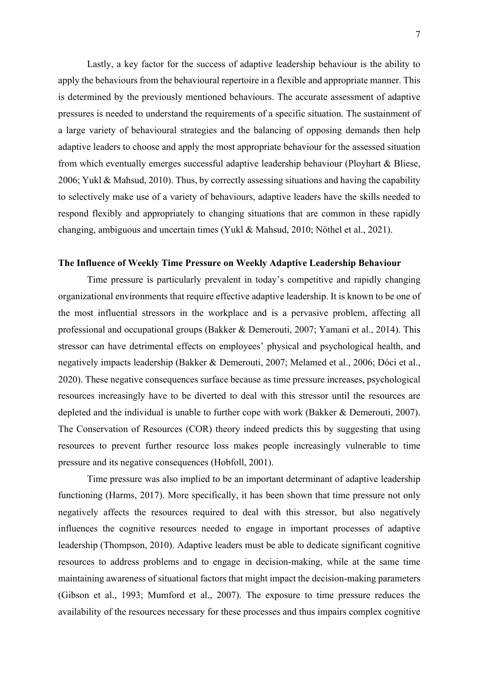Lastly, a key factor for the success of adaptive leadership behaviour is the ability to apply the behaviours from the behavioural repertoire in a flexible and appropriate manner. This is determined by the previously mentioned behaviours. The accurate assessment of adaptive pressures is needed to understand the requirements of a specific situation. The sustainment of a large variety of behavioural strategies and the balancing of opposing demands then help adaptive leaders to choose and apply the most appropriate behaviour for the assessed situation from which eventually emerges successful adaptive leadership behaviour (Ployhart & Bliese, 2006; Yukl & Mahsud, 2010). Thus, by correctly assessing situations and having the capability to selectively make use of a variety of behaviours, adaptive leaders have the skills needed to respond flexibly and appropriately to changing situations that are common in these rapidly changing, ambiguous and uncertain times (Yukl & Mahsud, 2010; Nöthel et al., 2021).

# **The Influence of Weekly Time Pressure on Weekly Adaptive Leadership Behaviour**

Time pressure is particularly prevalent in today's competitive and rapidly changing organizational environments that require effective adaptive leadership. It is known to be one of the most influential stressors in the workplace and is a pervasive problem, affecting all professional and occupational groups (Bakker & Demerouti, 2007; Yamani et al., 2014). This stressor can have detrimental effects on employees' physical and psychological health, and negatively impacts leadership (Bakker & Demerouti, 2007; Melamed et al., 2006; Dóci et al., 2020). These negative consequences surface because as time pressure increases, psychological resources increasingly have to be diverted to deal with this stressor until the resources are depleted and the individual is unable to further cope with work (Bakker & Demerouti, 2007). The Conservation of Resources (COR) theory indeed predicts this by suggesting that using resources to prevent further resource loss makes people increasingly vulnerable to time pressure and its negative consequences (Hobfoll, 2001).

Time pressure was also implied to be an important determinant of adaptive leadership functioning (Harms, 2017). More specifically, it has been shown that time pressure not only negatively affects the resources required to deal with this stressor, but also negatively influences the cognitive resources needed to engage in important processes of adaptive leadership (Thompson, 2010). Adaptive leaders must be able to dedicate significant cognitive resources to address problems and to engage in decision-making, while at the same time maintaining awareness of situational factors that might impact the decision-making parameters (Gibson et al., 1993; Mumford et al., 2007). The exposure to time pressure reduces the availability of the resources necessary for these processes and thus impairs complex cognitive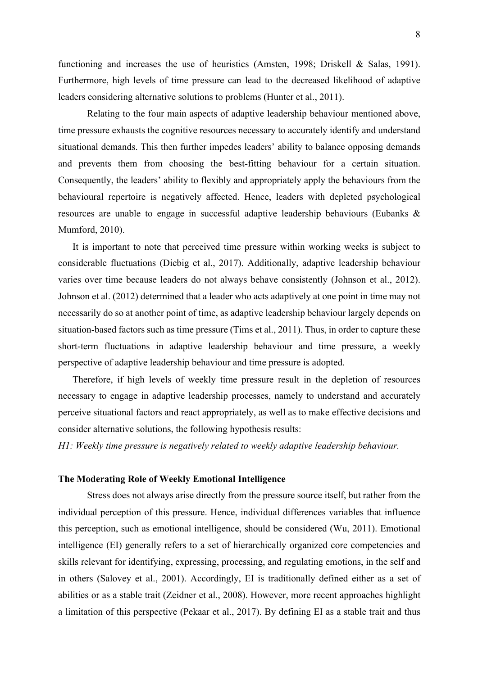functioning and increases the use of heuristics (Amsten, 1998; Driskell & Salas, 1991). Furthermore, high levels of time pressure can lead to the decreased likelihood of adaptive leaders considering alternative solutions to problems (Hunter et al., 2011).

Relating to the four main aspects of adaptive leadership behaviour mentioned above, time pressure exhausts the cognitive resources necessary to accurately identify and understand situational demands. This then further impedes leaders' ability to balance opposing demands and prevents them from choosing the best-fitting behaviour for a certain situation. Consequently, the leaders' ability to flexibly and appropriately apply the behaviours from the behavioural repertoire is negatively affected. Hence, leaders with depleted psychological resources are unable to engage in successful adaptive leadership behaviours (Eubanks & Mumford, 2010).

It is important to note that perceived time pressure within working weeks is subject to considerable fluctuations (Diebig et al., 2017). Additionally, adaptive leadership behaviour varies over time because leaders do not always behave consistently (Johnson et al., 2012). Johnson et al. (2012) determined that a leader who acts adaptively at one point in time may not necessarily do so at another point of time, as adaptive leadership behaviour largely depends on situation-based factors such as time pressure (Tims et al., 2011). Thus, in order to capture these short-term fluctuations in adaptive leadership behaviour and time pressure, a weekly perspective of adaptive leadership behaviour and time pressure is adopted.

Therefore, if high levels of weekly time pressure result in the depletion of resources necessary to engage in adaptive leadership processes, namely to understand and accurately perceive situational factors and react appropriately, as well as to make effective decisions and consider alternative solutions, the following hypothesis results:

*H1: Weekly time pressure is negatively related to weekly adaptive leadership behaviour.*

## **The Moderating Role of Weekly Emotional Intelligence**

Stress does not always arise directly from the pressure source itself, but rather from the individual perception of this pressure. Hence, individual differences variables that influence this perception, such as emotional intelligence, should be considered (Wu, 2011). Emotional intelligence (EI) generally refers to a set of hierarchically organized core competencies and skills relevant for identifying, expressing, processing, and regulating emotions, in the self and in others (Salovey et al., 2001). Accordingly, EI is traditionally defined either as a set of abilities or as a stable trait (Zeidner et al., 2008). However, more recent approaches highlight a limitation of this perspective (Pekaar et al., 2017). By defining EI as a stable trait and thus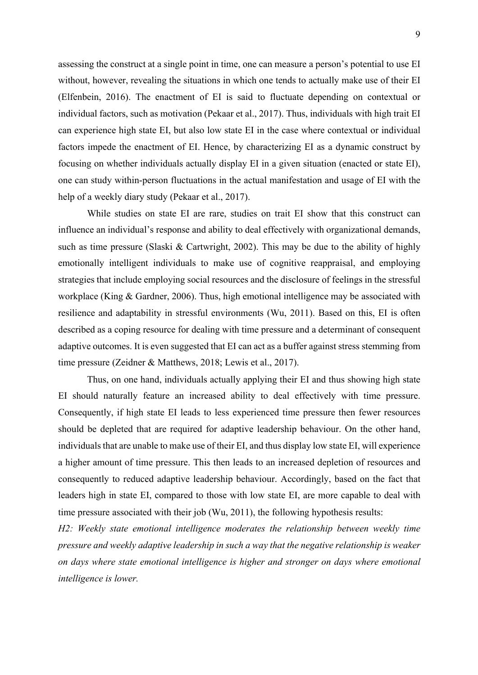assessing the construct at a single point in time, one can measure a person's potential to use EI without, however, revealing the situations in which one tends to actually make use of their EI (Elfenbein, 2016). The enactment of EI is said to fluctuate depending on contextual or individual factors, such as motivation (Pekaar et al., 2017). Thus, individuals with high trait EI can experience high state EI, but also low state EI in the case where contextual or individual factors impede the enactment of EI. Hence, by characterizing EI as a dynamic construct by focusing on whether individuals actually display EI in a given situation (enacted or state EI), one can study within-person fluctuations in the actual manifestation and usage of EI with the help of a weekly diary study (Pekaar et al., 2017).

While studies on state EI are rare, studies on trait EI show that this construct can influence an individual's response and ability to deal effectively with organizational demands, such as time pressure (Slaski & Cartwright, 2002). This may be due to the ability of highly emotionally intelligent individuals to make use of cognitive reappraisal, and employing strategies that include employing social resources and the disclosure of feelings in the stressful workplace (King & Gardner, 2006). Thus, high emotional intelligence may be associated with resilience and adaptability in stressful environments (Wu, 2011). Based on this, EI is often described as a coping resource for dealing with time pressure and a determinant of consequent adaptive outcomes. It is even suggested that EI can act as a buffer against stress stemming from time pressure (Zeidner & Matthews, 2018; Lewis et al., 2017).

Thus, on one hand, individuals actually applying their EI and thus showing high state EI should naturally feature an increased ability to deal effectively with time pressure. Consequently, if high state EI leads to less experienced time pressure then fewer resources should be depleted that are required for adaptive leadership behaviour. On the other hand, individuals that are unable to make use of their EI, and thus display low state EI, will experience a higher amount of time pressure. This then leads to an increased depletion of resources and consequently to reduced adaptive leadership behaviour. Accordingly, based on the fact that leaders high in state EI, compared to those with low state EI, are more capable to deal with time pressure associated with their job (Wu, 2011), the following hypothesis results:

*H2: Weekly state emotional intelligence moderates the relationship between weekly time pressure and weekly adaptive leadership in such a way that the negative relationship is weaker on days where state emotional intelligence is higher and stronger on days where emotional intelligence is lower.*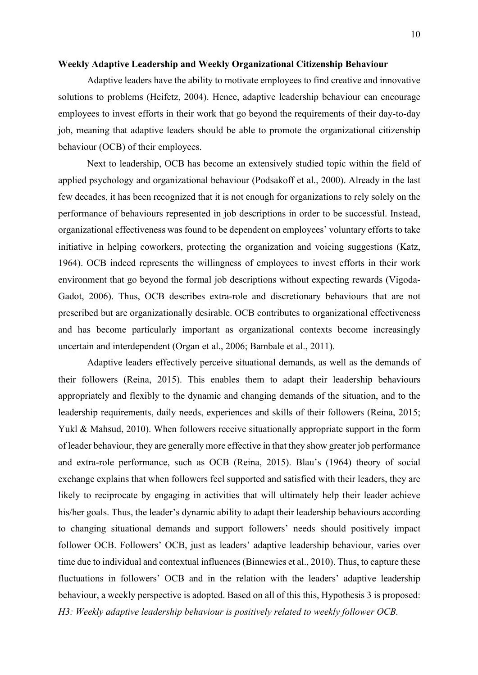## **Weekly Adaptive Leadership and Weekly Organizational Citizenship Behaviour**

Adaptive leaders have the ability to motivate employees to find creative and innovative solutions to problems (Heifetz, 2004). Hence, adaptive leadership behaviour can encourage employees to invest efforts in their work that go beyond the requirements of their day-to-day job, meaning that adaptive leaders should be able to promote the organizational citizenship behaviour (OCB) of their employees.

Next to leadership, OCB has become an extensively studied topic within the field of applied psychology and organizational behaviour (Podsakoff et al., 2000). Already in the last few decades, it has been recognized that it is not enough for organizations to rely solely on the performance of behaviours represented in job descriptions in order to be successful. Instead, organizational effectiveness was found to be dependent on employees' voluntary efforts to take initiative in helping coworkers, protecting the organization and voicing suggestions (Katz, 1964). OCB indeed represents the willingness of employees to invest efforts in their work environment that go beyond the formal job descriptions without expecting rewards (Vigoda-Gadot, 2006). Thus, OCB describes extra-role and discretionary behaviours that are not prescribed but are organizationally desirable. OCB contributes to organizational effectiveness and has become particularly important as organizational contexts become increasingly uncertain and interdependent (Organ et al., 2006; Bambale et al., 2011).

Adaptive leaders effectively perceive situational demands, as well as the demands of their followers (Reina, 2015). This enables them to adapt their leadership behaviours appropriately and flexibly to the dynamic and changing demands of the situation, and to the leadership requirements, daily needs, experiences and skills of their followers (Reina, 2015; Yukl & Mahsud, 2010). When followers receive situationally appropriate support in the form of leader behaviour, they are generally more effective in that they show greater job performance and extra-role performance, such as OCB (Reina, 2015). Blau's (1964) theory of social exchange explains that when followers feel supported and satisfied with their leaders, they are likely to reciprocate by engaging in activities that will ultimately help their leader achieve his/her goals. Thus, the leader's dynamic ability to adapt their leadership behaviours according to changing situational demands and support followers' needs should positively impact follower OCB. Followers' OCB, just as leaders' adaptive leadership behaviour, varies over time due to individual and contextual influences (Binnewies et al., 2010). Thus, to capture these fluctuations in followers' OCB and in the relation with the leaders' adaptive leadership behaviour, a weekly perspective is adopted. Based on all of this this, Hypothesis 3 is proposed: *H3: Weekly adaptive leadership behaviour is positively related to weekly follower OCB.*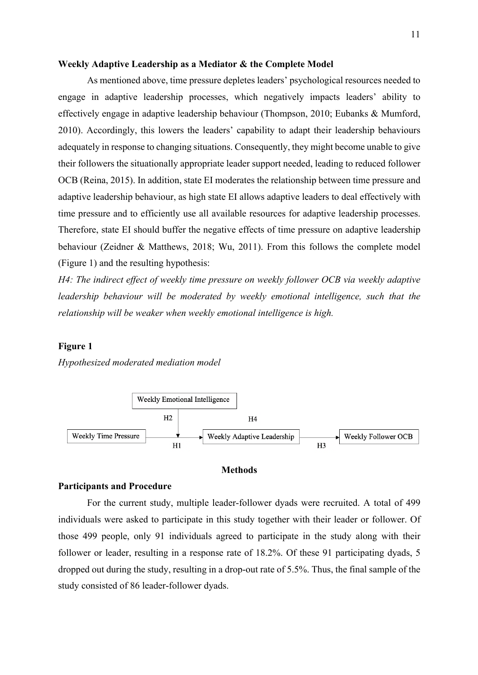# **Weekly Adaptive Leadership as a Mediator & the Complete Model**

As mentioned above, time pressure depletes leaders' psychological resources needed to engage in adaptive leadership processes, which negatively impacts leaders' ability to effectively engage in adaptive leadership behaviour (Thompson, 2010; Eubanks & Mumford, 2010). Accordingly, this lowers the leaders' capability to adapt their leadership behaviours adequately in response to changing situations. Consequently, they might become unable to give their followers the situationally appropriate leader support needed, leading to reduced follower OCB (Reina, 2015). In addition, state EI moderates the relationship between time pressure and adaptive leadership behaviour, as high state EI allows adaptive leaders to deal effectively with time pressure and to efficiently use all available resources for adaptive leadership processes. Therefore, state EI should buffer the negative effects of time pressure on adaptive leadership behaviour (Zeidner & Matthews, 2018; Wu, 2011). From this follows the complete model (Figure 1) and the resulting hypothesis:

*H4: The indirect effect of weekly time pressure on weekly follower OCB via weekly adaptive leadership behaviour will be moderated by weekly emotional intelligence, such that the relationship will be weaker when weekly emotional intelligence is high.*

## **Figure 1**

*Hypothesized moderated mediation model*



#### **Methods**

## **Participants and Procedure**

For the current study, multiple leader-follower dyads were recruited. A total of 499 individuals were asked to participate in this study together with their leader or follower. Of those 499 people, only 91 individuals agreed to participate in the study along with their follower or leader, resulting in a response rate of 18.2%. Of these 91 participating dyads, 5 dropped out during the study, resulting in a drop-out rate of 5.5%. Thus, the final sample of the study consisted of 86 leader-follower dyads.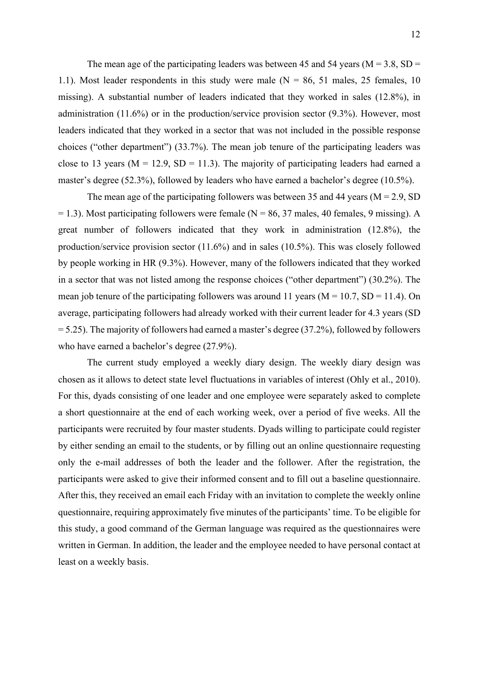The mean age of the participating leaders was between 45 and 54 years ( $M = 3.8$ , SD = 1.1). Most leader respondents in this study were male  $(N = 86, 51$  males, 25 females, 10 missing). A substantial number of leaders indicated that they worked in sales (12.8%), in administration (11.6%) or in the production/service provision sector (9.3%). However, most leaders indicated that they worked in a sector that was not included in the possible response choices ("other department") (33.7%). The mean job tenure of the participating leaders was close to 13 years ( $M = 12.9$ ,  $SD = 11.3$ ). The majority of participating leaders had earned a master's degree (52.3%), followed by leaders who have earned a bachelor's degree (10.5%).

The mean age of the participating followers was between 35 and 44 years ( $M = 2.9$ , SD  $= 1.3$ ). Most participating followers were female (N = 86, 37 males, 40 females, 9 missing). A great number of followers indicated that they work in administration (12.8%), the production/service provision sector (11.6%) and in sales (10.5%). This was closely followed by people working in HR (9.3%). However, many of the followers indicated that they worked in a sector that was not listed among the response choices ("other department") (30.2%). The mean job tenure of the participating followers was around 11 years ( $M = 10.7$ , SD = 11.4). On average, participating followers had already worked with their current leader for 4.3 years (SD  $= 5.25$ ). The majority of followers had earned a master's degree (37.2%), followed by followers who have earned a bachelor's degree (27.9%).

The current study employed a weekly diary design. The weekly diary design was chosen as it allows to detect state level fluctuations in variables of interest (Ohly et al., 2010). For this, dyads consisting of one leader and one employee were separately asked to complete a short questionnaire at the end of each working week, over a period of five weeks. All the participants were recruited by four master students. Dyads willing to participate could register by either sending an email to the students, or by filling out an online questionnaire requesting only the e-mail addresses of both the leader and the follower. After the registration, the participants were asked to give their informed consent and to fill out a baseline questionnaire. After this, they received an email each Friday with an invitation to complete the weekly online questionnaire, requiring approximately five minutes of the participants' time. To be eligible for this study, a good command of the German language was required as the questionnaires were written in German. In addition, the leader and the employee needed to have personal contact at least on a weekly basis.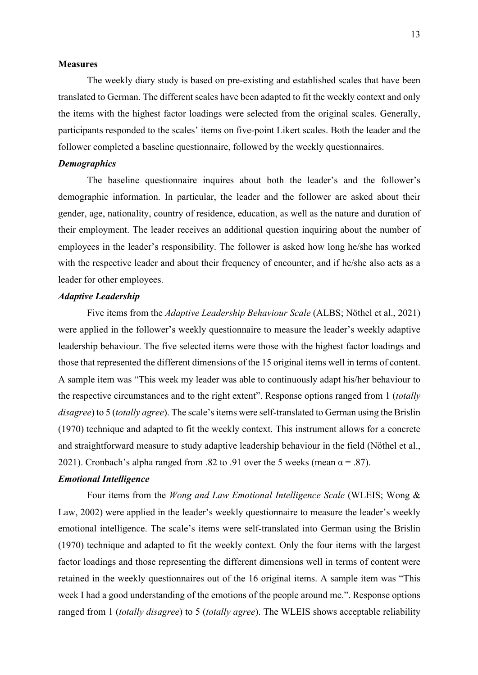# **Measures**

The weekly diary study is based on pre-existing and established scales that have been translated to German. The different scales have been adapted to fit the weekly context and only the items with the highest factor loadings were selected from the original scales. Generally, participants responded to the scales' items on five-point Likert scales. Both the leader and the follower completed a baseline questionnaire, followed by the weekly questionnaires.

# *Demographics*

The baseline questionnaire inquires about both the leader's and the follower's demographic information. In particular, the leader and the follower are asked about their gender, age, nationality, country of residence, education, as well as the nature and duration of their employment. The leader receives an additional question inquiring about the number of employees in the leader's responsibility. The follower is asked how long he/she has worked with the respective leader and about their frequency of encounter, and if he/she also acts as a leader for other employees.

# *Adaptive Leadership*

Five items from the *Adaptive Leadership Behaviour Scale* (ALBS; Nöthel et al., 2021) were applied in the follower's weekly questionnaire to measure the leader's weekly adaptive leadership behaviour. The five selected items were those with the highest factor loadings and those that represented the different dimensions of the 15 original items well in terms of content. A sample item was "This week my leader was able to continuously adapt his/her behaviour to the respective circumstances and to the right extent". Response options ranged from 1 (*totally disagree*) to 5 (*totally agree*). The scale's items were self-translated to German using the Brislin (1970) technique and adapted to fit the weekly context. This instrument allows for a concrete and straightforward measure to study adaptive leadership behaviour in the field (Nöthel et al., 2021). Cronbach's alpha ranged from .82 to .91 over the 5 weeks (mean  $\alpha = .87$ ).

# *Emotional Intelligence*

Four items from the *Wong and Law Emotional Intelligence Scale* (WLEIS; Wong & Law, 2002) were applied in the leader's weekly questionnaire to measure the leader's weekly emotional intelligence. The scale's items were self-translated into German using the Brislin (1970) technique and adapted to fit the weekly context. Only the four items with the largest factor loadings and those representing the different dimensions well in terms of content were retained in the weekly questionnaires out of the 16 original items. A sample item was "This week I had a good understanding of the emotions of the people around me.". Response options ranged from 1 (*totally disagree*) to 5 (*totally agree*). The WLEIS shows acceptable reliability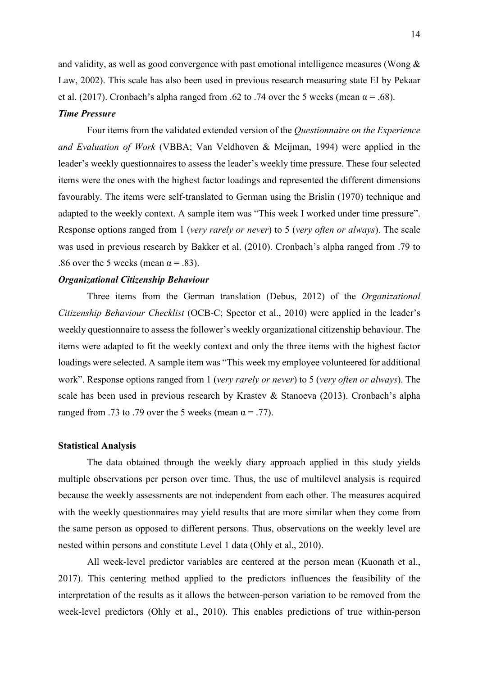and validity, as well as good convergence with past emotional intelligence measures (Wong & Law, 2002). This scale has also been used in previous research measuring state EI by Pekaar et al. (2017). Cronbach's alpha ranged from .62 to .74 over the 5 weeks (mean  $\alpha$  = .68).

#### *Time Pressure*

Four items from the validated extended version of the *Questionnaire on the Experience and Evaluation of Work* (VBBA; Van Veldhoven & Meijman, 1994) were applied in the leader's weekly questionnaires to assess the leader's weekly time pressure. These four selected items were the ones with the highest factor loadings and represented the different dimensions favourably. The items were self-translated to German using the Brislin (1970) technique and adapted to the weekly context. A sample item was "This week I worked under time pressure". Response options ranged from 1 (*very rarely or never*) to 5 (*very often or always*). The scale was used in previous research by Bakker et al. (2010). Cronbach's alpha ranged from .79 to .86 over the 5 weeks (mean  $\alpha$  = .83).

# *Organizational Citizenship Behaviour*

Three items from the German translation (Debus, 2012) of the *Organizational Citizenship Behaviour Checklist* (OCB-C; Spector et al., 2010) were applied in the leader's weekly questionnaire to assess the follower's weekly organizational citizenship behaviour. The items were adapted to fit the weekly context and only the three items with the highest factor loadings were selected. A sample item was "This week my employee volunteered for additional work". Response options ranged from 1 (*very rarely or never*) to 5 (*very often or always*). The scale has been used in previous research by Krastev & Stanoeva (2013). Cronbach's alpha ranged from .73 to .79 over the 5 weeks (mean  $\alpha = .77$ ).

## **Statistical Analysis**

The data obtained through the weekly diary approach applied in this study yields multiple observations per person over time. Thus, the use of multilevel analysis is required because the weekly assessments are not independent from each other. The measures acquired with the weekly questionnaires may yield results that are more similar when they come from the same person as opposed to different persons. Thus, observations on the weekly level are nested within persons and constitute Level 1 data (Ohly et al., 2010).

All week-level predictor variables are centered at the person mean (Kuonath et al., 2017). This centering method applied to the predictors influences the feasibility of the interpretation of the results as it allows the between-person variation to be removed from the week-level predictors (Ohly et al., 2010). This enables predictions of true within-person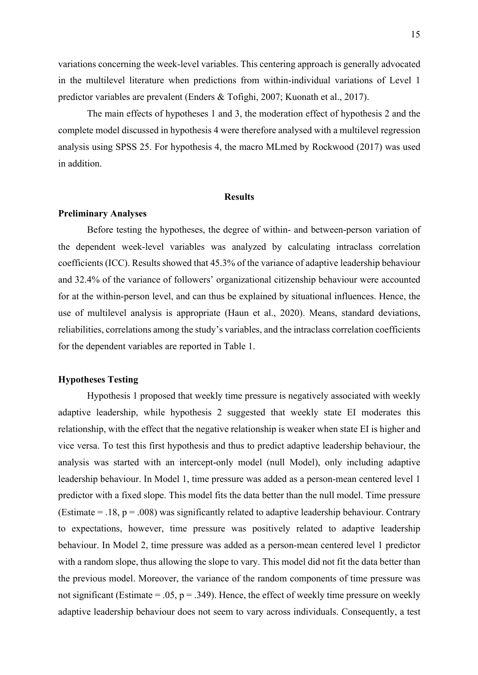variations concerning the week-level variables. This centering approach is generally advocated in the multilevel literature when predictions from within-individual variations of Level 1 predictor variables are prevalent (Enders & Tofighi, 2007; Kuonath et al., 2017).

The main effects of hypotheses 1 and 3, the moderation effect of hypothesis 2 and the complete model discussed in hypothesis 4 were therefore analysed with a multilevel regression analysis using SPSS 25. For hypothesis 4, the macro MLmed by Rockwood (2017) was used in addition.

## **Results**

#### **Preliminary Analyses**

Before testing the hypotheses, the degree of within- and between-person variation of the dependent week-level variables was analyzed by calculating intraclass correlation coefficients (ICC). Results showed that 45.3% of the variance of adaptive leadership behaviour and 32.4% of the variance of followers' organizational citizenship behaviour were accounted for at the within-person level, and can thus be explained by situational influences. Hence, the use of multilevel analysis is appropriate (Haun et al., 2020). Means, standard deviations, reliabilities, correlations among the study's variables, and the intraclass correlation coefficients for the dependent variables are reported in Table 1.

# **Hypotheses Testing**

Hypothesis 1 proposed that weekly time pressure is negatively associated with weekly adaptive leadership, while hypothesis 2 suggested that weekly state EI moderates this relationship, with the effect that the negative relationship is weaker when state EI is higher and vice versa. To test this first hypothesis and thus to predict adaptive leadership behaviour, the analysis was started with an intercept-only model (null Model), only including adaptive leadership behaviour. In Model 1, time pressure was added as a person-mean centered level 1 predictor with a fixed slope. This model fits the data better than the null model. Time pressure (Estimate = .18,  $p = .008$ ) was significantly related to adaptive leadership behaviour. Contrary to expectations, however, time pressure was positively related to adaptive leadership behaviour. In Model 2, time pressure was added as a person-mean centered level 1 predictor with a random slope, thus allowing the slope to vary. This model did not fit the data better than the previous model. Moreover, the variance of the random components of time pressure was not significant (Estimate = .05,  $p = .349$ ). Hence, the effect of weekly time pressure on weekly adaptive leadership behaviour does not seem to vary across individuals. Consequently, a test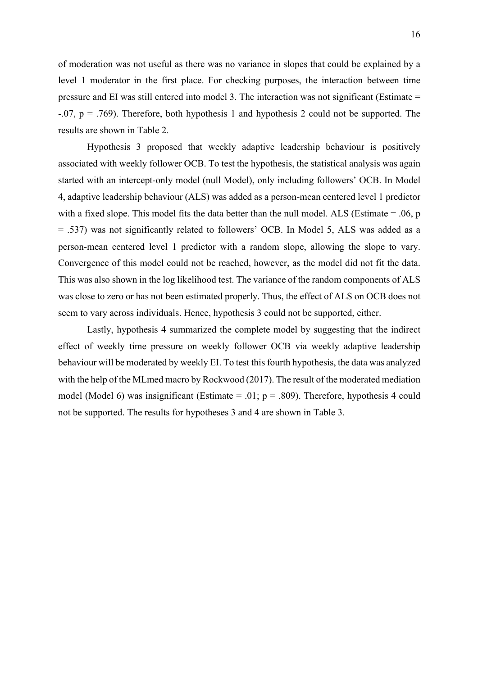of moderation was not useful as there was no variance in slopes that could be explained by a level 1 moderator in the first place. For checking purposes, the interaction between time pressure and EI was still entered into model 3. The interaction was not significant (Estimate =  $-0.07$ ,  $p = 0.769$ . Therefore, both hypothesis 1 and hypothesis 2 could not be supported. The results are shown in Table 2.

Hypothesis 3 proposed that weekly adaptive leadership behaviour is positively associated with weekly follower OCB. To test the hypothesis, the statistical analysis was again started with an intercept-only model (null Model), only including followers' OCB. In Model 4, adaptive leadership behaviour (ALS) was added as a person-mean centered level 1 predictor with a fixed slope. This model fits the data better than the null model. ALS (Estimate = .06, p = .537) was not significantly related to followers' OCB. In Model 5, ALS was added as a person-mean centered level 1 predictor with a random slope, allowing the slope to vary. Convergence of this model could not be reached, however, as the model did not fit the data. This was also shown in the log likelihood test. The variance of the random components of ALS was close to zero or has not been estimated properly. Thus, the effect of ALS on OCB does not seem to vary across individuals. Hence, hypothesis 3 could not be supported, either.

Lastly, hypothesis 4 summarized the complete model by suggesting that the indirect effect of weekly time pressure on weekly follower OCB via weekly adaptive leadership behaviour will be moderated by weekly EI. To test this fourth hypothesis, the data was analyzed with the help of the MLmed macro by Rockwood (2017). The result of the moderated mediation model (Model 6) was insignificant (Estimate = .01;  $p = .809$ ). Therefore, hypothesis 4 could not be supported. The results for hypotheses 3 and 4 are shown in Table 3.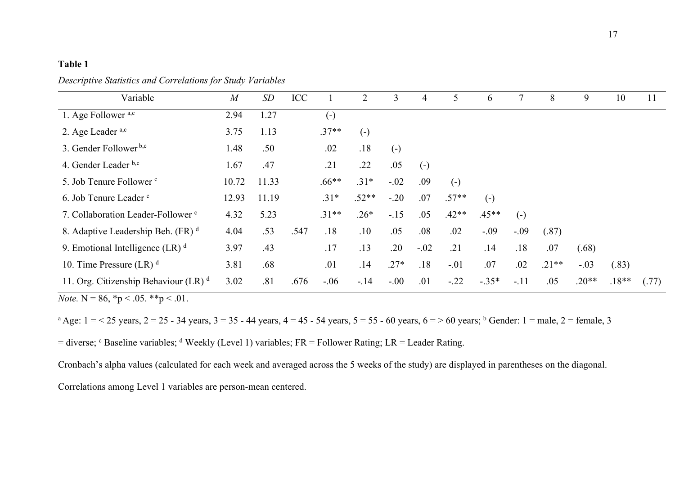# **Table 1**

*Descriptive Statistics and Correlations for Study Variables*

| Variable                                           | M     | SD    | ICC  |                   | 2                 | 3      | 4      |         | 6       |        | 8       | 9       | 10      | 11    |
|----------------------------------------------------|-------|-------|------|-------------------|-------------------|--------|--------|---------|---------|--------|---------|---------|---------|-------|
| 1. Age Follower <sup>a,c</sup>                     | 2.94  | 1.27  |      | $\left( -\right)$ |                   |        |        |         |         |        |         |         |         |       |
| 2. Age Leader a,c                                  | 3.75  | 1.13  |      | $.37**$           | $\left( -\right)$ |        |        |         |         |        |         |         |         |       |
| 3. Gender Follower <sup>b,c</sup>                  | 1.48  | .50   |      | .02               | .18               | $(-)$  |        |         |         |        |         |         |         |       |
| 4. Gender Leader b,c                               | 1.67  | .47   |      | .21               | .22               | .05    | $(-)$  |         |         |        |         |         |         |       |
| 5. Job Tenure Follower <sup>c</sup>                | 10.72 | 11.33 |      | $.66**$           | $.31*$            | $-.02$ | .09    | $(-)$   |         |        |         |         |         |       |
| 6. Job Tenure Leader <sup>c</sup>                  | 12.93 | 11.19 |      | $.31*$            | $.52**$           | $-.20$ | .07    | $.57**$ | $(-)$   |        |         |         |         |       |
| 7. Collaboration Leader-Follower <sup>c</sup>      | 4.32  | 5.23  |      | $.31**$           | $.26*$            | $-.15$ | .05    | $.42**$ | $.45**$ | $(-)$  |         |         |         |       |
| 8. Adaptive Leadership Beh. (FR) d                 | 4.04  | .53   | .547 | .18               | .10               | .05    | .08    | .02     | $-.09$  | $-.09$ | (.87)   |         |         |       |
| 9. Emotional Intelligence (LR) $d$                 | 3.97  | .43   |      | .17               | .13               | .20    | $-.02$ | .21     | .14     | .18    | .07     | (.68)   |         |       |
| 10. Time Pressure $(LR)^d$                         | 3.81  | .68   |      | .01               | .14               | $.27*$ | .18    | $-.01$  | .07     | .02    | $.21**$ | $-.03$  | (.83)   |       |
| 11. Org. Citizenship Behaviour $(LR)$ <sup>d</sup> | 3.02  | .81   | .676 | $-.06$            | $-.14$            | $-.00$ | .01    | $-.22$  | $-.35*$ | $-.11$ | .05     | $.20**$ | $.18**$ | (.77) |
|                                                    |       |       |      |                   |                   |        |        |         |         |        |         |         |         |       |

*Note.* N = 86,  ${}^*p$  < .05.  ${}^*p$  < .01.

<sup>a</sup> Age:  $1 = 25$  years,  $2 = 25 - 34$  years,  $3 = 35 - 44$  years,  $4 = 45 - 54$  years,  $5 = 55 - 60$  years,  $6 = 560$  years; <sup>b</sup> Gender:  $1 =$  male,  $2 =$  female, 3

= diverse;  $c$  Baseline variables;  $d$  Weekly (Level 1) variables; FR = Follower Rating; LR = Leader Rating.

Cronbach's alpha values (calculated for each week and averaged across the 5 weeks of the study) are displayed in parentheses on the diagonal.

Correlations among Level 1 variables are person-mean centered.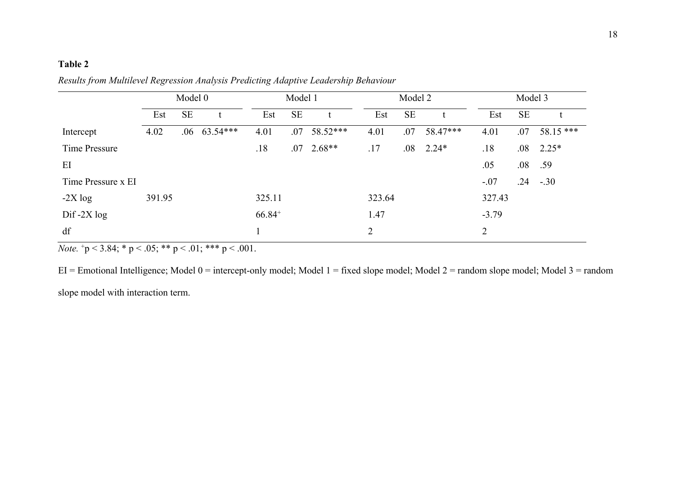# **Table 2**

|                    | Model 0 |          |          | Model 1     |           |          |                | Model 2   | Model 3  |                |           |            |
|--------------------|---------|----------|----------|-------------|-----------|----------|----------------|-----------|----------|----------------|-----------|------------|
|                    | Est     | $\rm SE$ |          | Est         | <b>SE</b> | t        | Est            | <b>SE</b> | t        | Est            | <b>SE</b> |            |
| Intercept          | 4.02    | .06      | 63.54*** | 4.01        | .07       | 58.52*** | 4.01           | .07       | 58.47*** | 4.01           | .07       | $58.15***$ |
| Time Pressure      |         |          |          | .18         | .07       | $2.68**$ | .17            | .08       | $2.24*$  | .18            | .08       | $2.25*$    |
| EI                 |         |          |          |             |           |          |                |           |          | .05            | .08       | .59        |
| Time Pressure x EI |         |          |          |             |           |          |                |           |          | $-.07$         | .24       | $-.30$     |
| $-2X \log$         | 391.95  |          |          | 325.11      |           |          | 323.64         |           |          | 327.43         |           |            |
| $Diff-2X log$      |         |          |          | $66.84^{+}$ |           |          | 1.47           |           |          | $-3.79$        |           |            |
| df                 |         |          |          |             |           |          | $\overline{2}$ |           |          | $\overline{2}$ |           |            |

*Results from Multilevel Regression Analysis Predicting Adaptive Leadership Behaviour*

*Note.*  $+p < 3.84$ ; \* p < .05; \*\* p < .01; \*\*\* p < .001.

EI = Emotional Intelligence; Model 0 = intercept-only model; Model 1 = fixed slope model; Model 2 = random slope model; Model 3 = random

slope model with interaction term.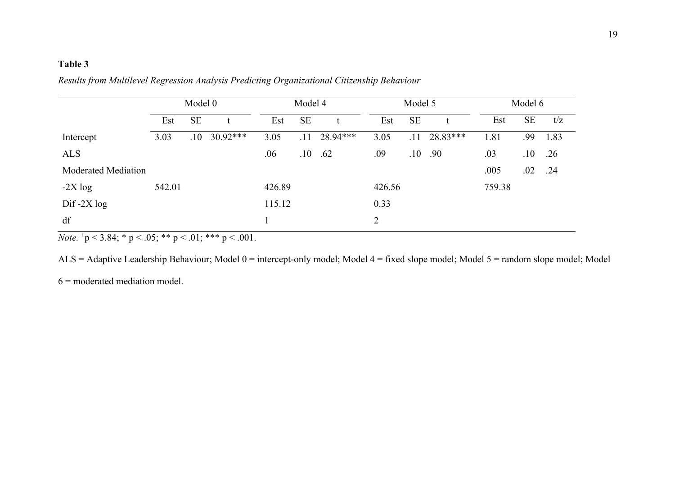# **Table 3**

|                            | Model 0 |     |            |        | Model 4 |          |        | Model 5   |          | Model 6 |     |      |  |
|----------------------------|---------|-----|------------|--------|---------|----------|--------|-----------|----------|---------|-----|------|--|
|                            | Est     | SE  | t          | Est    | SE      | t        | Est    | <b>SE</b> |          | Est     | SE  | t/z  |  |
| Intercept                  | 3.03    | .10 | $30.92***$ | 3.05   | .11     | 28.94*** | 3.05   | .11       | 28.83*** | 1.81    | .99 | 1.83 |  |
| <b>ALS</b>                 |         |     |            | .06    | .10     | .62      | .09    | .10       | .90      | .03     | .10 | .26  |  |
| <b>Moderated Mediation</b> |         |     |            |        |         |          |        |           |          | .005    | .02 | .24  |  |
| $-2X \log$                 | 542.01  |     |            | 426.89 |         |          | 426.56 |           |          | 759.38  |     |      |  |
| $Diff-2X log$              |         |     |            | 115.12 |         |          | 0.33   |           |          |         |     |      |  |
| df                         |         |     |            |        |         |          | 2      |           |          |         |     |      |  |

*Results from Multilevel Regression Analysis Predicting Organizational Citizenship Behaviour*

*Note.*  $\frac{1}{p}$  < 3.84; \* p < .05; \*\* p < .01; \*\*\* p < .001.

ALS = Adaptive Leadership Behaviour; Model 0 = intercept-only model; Model 4 = fixed slope model; Model 5 = random slope model; Model

 $6 =$  moderated mediation model.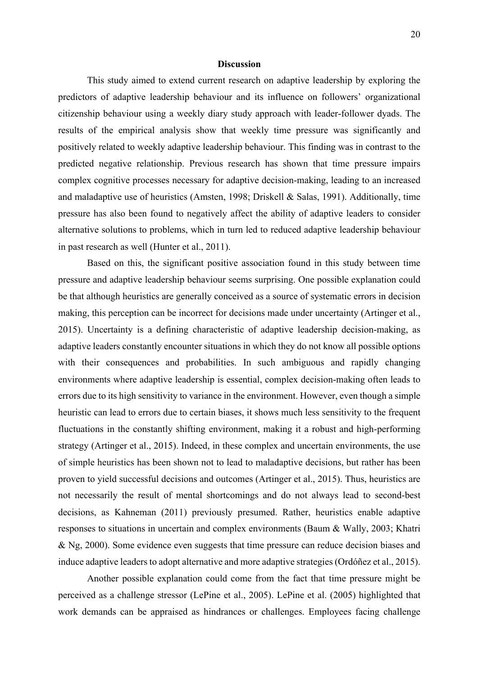## **Discussion**

This study aimed to extend current research on adaptive leadership by exploring the predictors of adaptive leadership behaviour and its influence on followers' organizational citizenship behaviour using a weekly diary study approach with leader-follower dyads. The results of the empirical analysis show that weekly time pressure was significantly and positively related to weekly adaptive leadership behaviour. This finding was in contrast to the predicted negative relationship. Previous research has shown that time pressure impairs complex cognitive processes necessary for adaptive decision-making, leading to an increased and maladaptive use of heuristics (Amsten, 1998; Driskell & Salas, 1991). Additionally, time pressure has also been found to negatively affect the ability of adaptive leaders to consider alternative solutions to problems, which in turn led to reduced adaptive leadership behaviour in past research as well (Hunter et al., 2011).

Based on this, the significant positive association found in this study between time pressure and adaptive leadership behaviour seems surprising. One possible explanation could be that although heuristics are generally conceived as a source of systematic errors in decision making, this perception can be incorrect for decisions made under uncertainty (Artinger et al., 2015). Uncertainty is a defining characteristic of adaptive leadership decision-making, as adaptive leaders constantly encounter situations in which they do not know all possible options with their consequences and probabilities. In such ambiguous and rapidly changing environments where adaptive leadership is essential, complex decision-making often leads to errors due to its high sensitivity to variance in the environment. However, even though a simple heuristic can lead to errors due to certain biases, it shows much less sensitivity to the frequent fluctuations in the constantly shifting environment, making it a robust and high-performing strategy (Artinger et al., 2015). Indeed, in these complex and uncertain environments, the use of simple heuristics has been shown not to lead to maladaptive decisions, but rather has been proven to yield successful decisions and outcomes (Artinger et al., 2015). Thus, heuristics are not necessarily the result of mental shortcomings and do not always lead to second-best decisions, as Kahneman (2011) previously presumed. Rather, heuristics enable adaptive responses to situations in uncertain and complex environments (Baum & Wally, 2003; Khatri & Ng, 2000). Some evidence even suggests that time pressure can reduce decision biases and induce adaptive leaders to adopt alternative and more adaptive strategies (Ordóñez et al., 2015).

Another possible explanation could come from the fact that time pressure might be perceived as a challenge stressor (LePine et al., 2005). LePine et al. (2005) highlighted that work demands can be appraised as hindrances or challenges. Employees facing challenge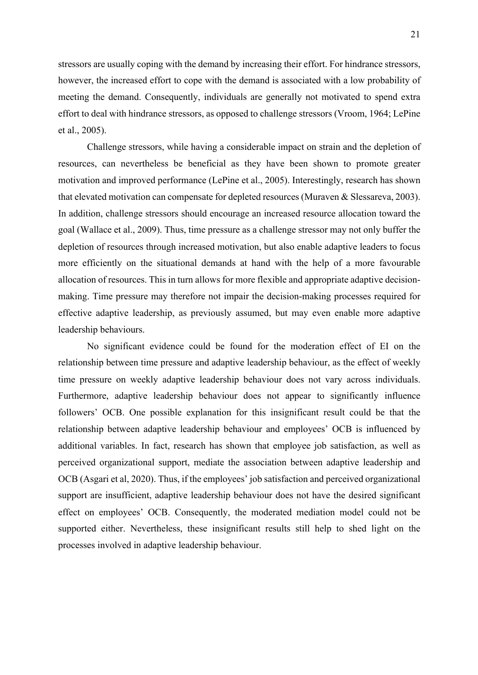stressors are usually coping with the demand by increasing their effort. For hindrance stressors, however, the increased effort to cope with the demand is associated with a low probability of meeting the demand. Consequently, individuals are generally not motivated to spend extra effort to deal with hindrance stressors, as opposed to challenge stressors (Vroom, 1964; LePine et al., 2005).

Challenge stressors, while having a considerable impact on strain and the depletion of resources, can nevertheless be beneficial as they have been shown to promote greater motivation and improved performance (LePine et al., 2005). Interestingly, research has shown that elevated motivation can compensate for depleted resources (Muraven & Slessareva, 2003). In addition, challenge stressors should encourage an increased resource allocation toward the goal (Wallace et al., 2009). Thus, time pressure as a challenge stressor may not only buffer the depletion of resources through increased motivation, but also enable adaptive leaders to focus more efficiently on the situational demands at hand with the help of a more favourable allocation of resources. This in turn allows for more flexible and appropriate adaptive decisionmaking. Time pressure may therefore not impair the decision-making processes required for effective adaptive leadership, as previously assumed, but may even enable more adaptive leadership behaviours.

No significant evidence could be found for the moderation effect of EI on the relationship between time pressure and adaptive leadership behaviour, as the effect of weekly time pressure on weekly adaptive leadership behaviour does not vary across individuals. Furthermore, adaptive leadership behaviour does not appear to significantly influence followers' OCB. One possible explanation for this insignificant result could be that the relationship between adaptive leadership behaviour and employees' OCB is influenced by additional variables. In fact, research has shown that employee job satisfaction, as well as perceived organizational support, mediate the association between adaptive leadership and OCB (Asgari et al, 2020). Thus, if the employees' job satisfaction and perceived organizational support are insufficient, adaptive leadership behaviour does not have the desired significant effect on employees' OCB. Consequently, the moderated mediation model could not be supported either. Nevertheless, these insignificant results still help to shed light on the processes involved in adaptive leadership behaviour.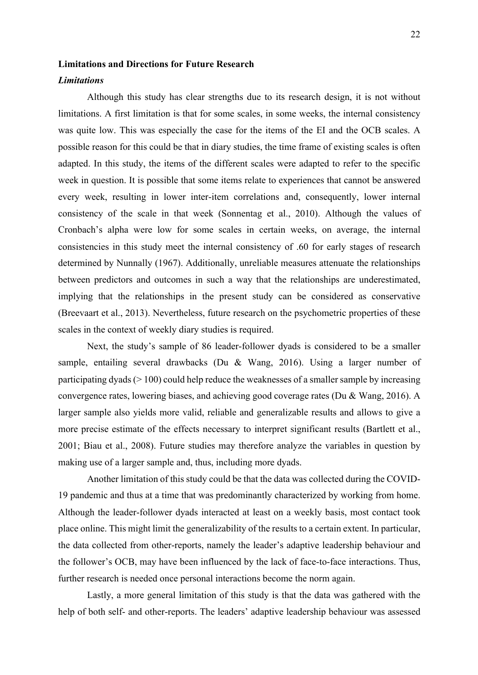# **Limitations and Directions for Future Research**

# *Limitations*

Although this study has clear strengths due to its research design, it is not without limitations. A first limitation is that for some scales, in some weeks, the internal consistency was quite low. This was especially the case for the items of the EI and the OCB scales. A possible reason for this could be that in diary studies, the time frame of existing scales is often adapted. In this study, the items of the different scales were adapted to refer to the specific week in question. It is possible that some items relate to experiences that cannot be answered every week, resulting in lower inter-item correlations and, consequently, lower internal consistency of the scale in that week (Sonnentag et al., 2010). Although the values of Cronbach's alpha were low for some scales in certain weeks, on average, the internal consistencies in this study meet the internal consistency of .60 for early stages of research determined by Nunnally (1967). Additionally, unreliable measures attenuate the relationships between predictors and outcomes in such a way that the relationships are underestimated, implying that the relationships in the present study can be considered as conservative (Breevaart et al., 2013). Nevertheless, future research on the psychometric properties of these scales in the context of weekly diary studies is required.

Next, the study's sample of 86 leader-follower dyads is considered to be a smaller sample, entailing several drawbacks (Du & Wang, 2016). Using a larger number of participating dyads  $(> 100)$  could help reduce the weaknesses of a smaller sample by increasing convergence rates, lowering biases, and achieving good coverage rates (Du & Wang, 2016). A larger sample also yields more valid, reliable and generalizable results and allows to give a more precise estimate of the effects necessary to interpret significant results (Bartlett et al., 2001; Biau et al., 2008). Future studies may therefore analyze the variables in question by making use of a larger sample and, thus, including more dyads.

Another limitation of this study could be that the data was collected during the COVID-19 pandemic and thus at a time that was predominantly characterized by working from home. Although the leader-follower dyads interacted at least on a weekly basis, most contact took place online. This might limit the generalizability of the results to a certain extent. In particular, the data collected from other-reports, namely the leader's adaptive leadership behaviour and the follower's OCB, may have been influenced by the lack of face-to-face interactions. Thus, further research is needed once personal interactions become the norm again.

Lastly, a more general limitation of this study is that the data was gathered with the help of both self- and other-reports. The leaders' adaptive leadership behaviour was assessed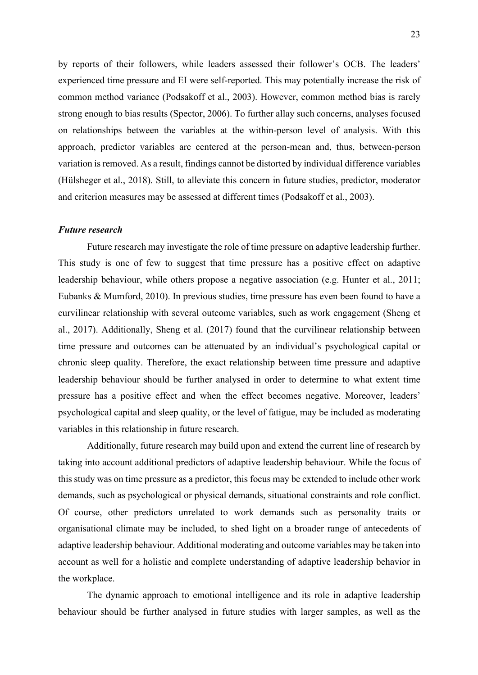by reports of their followers, while leaders assessed their follower's OCB. The leaders' experienced time pressure and EI were self-reported. This may potentially increase the risk of common method variance (Podsakoff et al., 2003). However, common method bias is rarely strong enough to bias results (Spector, 2006). To further allay such concerns, analyses focused on relationships between the variables at the within-person level of analysis. With this approach, predictor variables are centered at the person-mean and, thus, between-person variation is removed. As a result, findings cannot be distorted by individual difference variables (Hülsheger et al., 2018). Still, to alleviate this concern in future studies, predictor, moderator and criterion measures may be assessed at different times (Podsakoff et al., 2003).

## *Future research*

Future research may investigate the role of time pressure on adaptive leadership further. This study is one of few to suggest that time pressure has a positive effect on adaptive leadership behaviour, while others propose a negative association (e.g. Hunter et al., 2011; Eubanks & Mumford, 2010). In previous studies, time pressure has even been found to have a curvilinear relationship with several outcome variables, such as work engagement (Sheng et al., 2017). Additionally, Sheng et al. (2017) found that the curvilinear relationship between time pressure and outcomes can be attenuated by an individual's psychological capital or chronic sleep quality. Therefore, the exact relationship between time pressure and adaptive leadership behaviour should be further analysed in order to determine to what extent time pressure has a positive effect and when the effect becomes negative. Moreover, leaders' psychological capital and sleep quality, or the level of fatigue, may be included as moderating variables in this relationship in future research.

Additionally, future research may build upon and extend the current line of research by taking into account additional predictors of adaptive leadership behaviour. While the focus of this study was on time pressure as a predictor, this focus may be extended to include other work demands, such as psychological or physical demands, situational constraints and role conflict. Of course, other predictors unrelated to work demands such as personality traits or organisational climate may be included, to shed light on a broader range of antecedents of adaptive leadership behaviour. Additional moderating and outcome variables may be taken into account as well for a holistic and complete understanding of adaptive leadership behavior in the workplace.

The dynamic approach to emotional intelligence and its role in adaptive leadership behaviour should be further analysed in future studies with larger samples, as well as the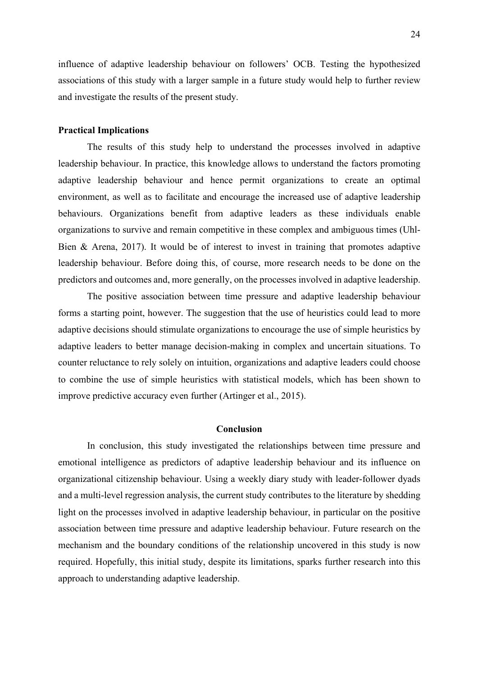influence of adaptive leadership behaviour on followers' OCB. Testing the hypothesized associations of this study with a larger sample in a future study would help to further review and investigate the results of the present study.

# **Practical Implications**

The results of this study help to understand the processes involved in adaptive leadership behaviour. In practice, this knowledge allows to understand the factors promoting adaptive leadership behaviour and hence permit organizations to create an optimal environment, as well as to facilitate and encourage the increased use of adaptive leadership behaviours. Organizations benefit from adaptive leaders as these individuals enable organizations to survive and remain competitive in these complex and ambiguous times (Uhl-Bien & Arena, 2017). It would be of interest to invest in training that promotes adaptive leadership behaviour. Before doing this, of course, more research needs to be done on the predictors and outcomes and, more generally, on the processes involved in adaptive leadership.

The positive association between time pressure and adaptive leadership behaviour forms a starting point, however. The suggestion that the use of heuristics could lead to more adaptive decisions should stimulate organizations to encourage the use of simple heuristics by adaptive leaders to better manage decision-making in complex and uncertain situations. To counter reluctance to rely solely on intuition, organizations and adaptive leaders could choose to combine the use of simple heuristics with statistical models, which has been shown to improve predictive accuracy even further (Artinger et al., 2015).

# **Conclusion**

In conclusion, this study investigated the relationships between time pressure and emotional intelligence as predictors of adaptive leadership behaviour and its influence on organizational citizenship behaviour. Using a weekly diary study with leader-follower dyads and a multi-level regression analysis, the current study contributes to the literature by shedding light on the processes involved in adaptive leadership behaviour, in particular on the positive association between time pressure and adaptive leadership behaviour. Future research on the mechanism and the boundary conditions of the relationship uncovered in this study is now required. Hopefully, this initial study, despite its limitations, sparks further research into this approach to understanding adaptive leadership.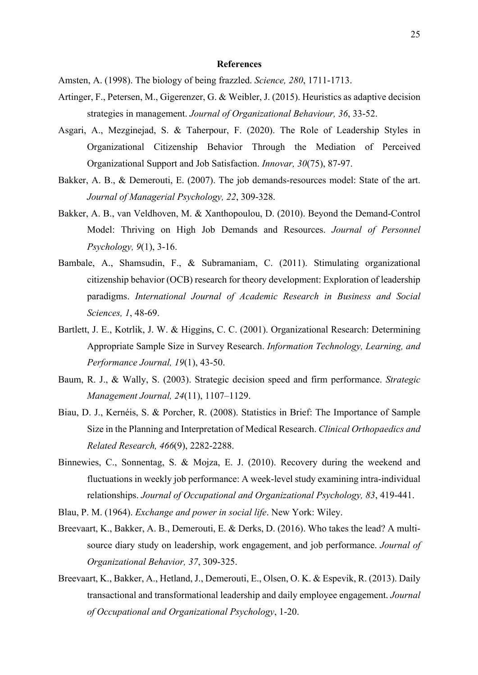## **References**

- Amsten, A. (1998). The biology of being frazzled. *Science, 280*, 1711-1713.
- Artinger, F., Petersen, M., Gigerenzer, G. & Weibler, J. (2015). Heuristics as adaptive decision strategies in management. *Journal of Organizational Behaviour, 36*, 33-52.
- Asgari, A., Mezginejad, S. & Taherpour, F. (2020). The Role of Leadership Styles in Organizational Citizenship Behavior Through the Mediation of Perceived Organizational Support and Job Satisfaction. *Innovar, 30*(75), 87-97.
- Bakker, A. B., & Demerouti, E. (2007). The job demands-resources model: State of the art. *Journal of Managerial Psychology, 22*, 309-328.
- Bakker, A. B., van Veldhoven, M. & Xanthopoulou, D. (2010). Beyond the Demand-Control Model: Thriving on High Job Demands and Resources. *Journal of Personnel Psychology, 9*(1), 3-16.
- Bambale, A., Shamsudin, F., & Subramaniam, C. (2011). Stimulating organizational citizenship behavior (OCB) research for theory development: Exploration of leadership paradigms. *International Journal of Academic Research in Business and Social Sciences, 1*, 48-69.
- Bartlett, J. E., Kotrlik, J. W. & Higgins, C. C. (2001). Organizational Research: Determining Appropriate Sample Size in Survey Research. *Information Technology, Learning, and Performance Journal, 19*(1), 43-50.
- Baum, R. J., & Wally, S. (2003). Strategic decision speed and firm performance. *Strategic Management Journal, 24*(11), 1107–1129.
- Biau, D. J., Kernéis, S. & Porcher, R. (2008). Statistics in Brief: The Importance of Sample Size in the Planning and Interpretation of Medical Research. *Clinical Orthopaedics and Related Research, 466*(9), 2282-2288.
- Binnewies, C., Sonnentag, S. & Mojza, E. J. (2010). Recovery during the weekend and fluctuations in weekly job performance: A week-level study examining intra-individual relationships. *Journal of Occupational and Organizational Psychology, 83*, 419-441.
- Blau, P. M. (1964). *Exchange and power in social life*. New York: Wiley.
- Breevaart, K., Bakker, A. B., Demerouti, E. & Derks, D. (2016). Who takes the lead? A multisource diary study on leadership, work engagement, and job performance. *Journal of Organizational Behavior, 37*, 309-325.
- Breevaart, K., Bakker, A., Hetland, J., Demerouti, E., Olsen, O. K. & Espevik, R. (2013). Daily transactional and transformational leadership and daily employee engagement. *Journal of Occupational and Organizational Psychology*, 1-20.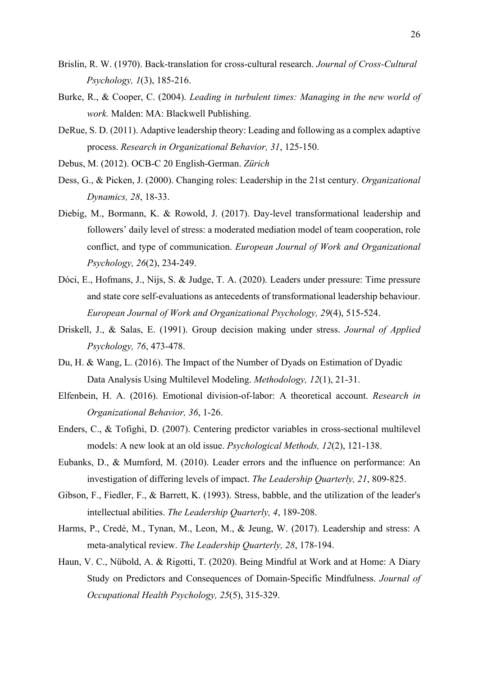- Brislin, R. W. (1970). Back-translation for cross-cultural research. *Journal of Cross-Cultural Psychology, 1*(3), 185-216.
- Burke, R., & Cooper, C. (2004). *Leading in turbulent times: Managing in the new world of work.* Malden: MA: Blackwell Publishing.
- DeRue, S. D. (2011). Adaptive leadership theory: Leading and following as a complex adaptive process. *Research in Organizational Behavior, 31*, 125-150.
- Debus, M. (2012). OCB-C 20 English-German. *Zürich*
- Dess, G., & Picken, J. (2000). Changing roles: Leadership in the 21st century. *Organizational Dynamics, 28*, 18-33.
- Diebig, M., Bormann, K. & Rowold, J. (2017). Day-level transformational leadership and followers' daily level of stress: a moderated mediation model of team cooperation, role conflict, and type of communication. *European Journal of Work and Organizational Psychology, 26*(2), 234-249.
- Dóci, E., Hofmans, J., Nijs, S. & Judge, T. A. (2020). Leaders under pressure: Time pressure and state core self-evaluations as antecedents of transformational leadership behaviour. *European Journal of Work and Organizational Psychology, 29*(4), 515-524.
- Driskell, J., & Salas, E. (1991). Group decision making under stress. *Journal of Applied Psychology, 76*, 473-478.
- Du, H. & Wang, L. (2016). The Impact of the Number of Dyads on Estimation of Dyadic Data Analysis Using Multilevel Modeling. *Methodology, 12*(1), 21-31.
- Elfenbein, H. A. (2016). Emotional division-of-labor: A theoretical account. *Research in Organizational Behavior, 36*, 1-26.
- Enders, C., & Tofighi, D. (2007). Centering predictor variables in cross-sectional multilevel models: A new look at an old issue. *Psychological Methods, 12*(2), 121-138.
- Eubanks, D., & Mumford, M. (2010). Leader errors and the influence on performance: An investigation of differing levels of impact. *The Leadership Quarterly, 21*, 809-825.
- Gibson, F., Fiedler, F., & Barrett, K. (1993). Stress, babble, and the utilization of the leader's intellectual abilities. *The Leadership Quarterly, 4*, 189-208.
- Harms, P., Credé, M., Tynan, M., Leon, M., & Jeung, W. (2017). Leadership and stress: A meta-analytical review. *The Leadership Quarterly, 28*, 178-194.
- Haun, V. C., Nübold, A. & Rigotti, T. (2020). Being Mindful at Work and at Home: A Diary Study on Predictors and Consequences of Domain-Specific Mindfulness. *Journal of Occupational Health Psychology, 25*(5), 315-329.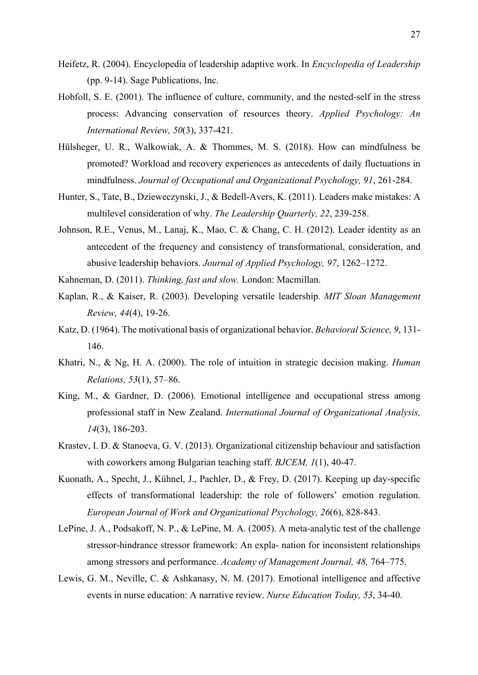- Heifetz, R. (2004). Encyclopedia of leadership adaptive work. In *Encyclopedia of Leadership* (pp. 9-14). Sage Publications, Inc.
- Hobfoll, S. E. (2001). The influence of culture, community, and the nested-self in the stress process: Advancing conservation of resources theory. *Applied Psychology: An International Review, 50*(3), 337-421.
- Hülsheger, U. R., Walkowiak, A. & Thommes, M. S. (2018). How can mindfulness be promoted? Workload and recovery experiences as antecedents of daily fluctuations in mindfulness. *Journal of Occupational and Organizational Psychology, 91*, 261-284.
- Hunter, S., Tate, B., Dzieweczynski, J., & Bedell-Avers, K. (2011). Leaders make mistakes: A multilevel consideration of why. *The Leadership Quarterly, 22*, 239-258.
- Johnson, R.E., Venus, M., Lanaj, K., Mao, C. & Chang, C. H. (2012). Leader identity as an antecedent of the frequency and consistency of transformational, consideration, and abusive leadership behaviors. *Journal of Applied Psychology, 97*, 1262–1272.
- Kahneman, D. (2011). *Thinking, fast and slow.* London: Macmillan.
- Kaplan, R., & Kaiser, R. (2003). Developing versatile leadership. *MIT Sloan Management Review, 44*(4), 19-26.
- Katz, D. (1964). The motivational basis of organizational behavior. *Behavioral Science, 9*, 131- 146.
- Khatri, N., & Ng, H. A. (2000). The role of intuition in strategic decision making. *Human Relations, 53*(1), 57–86.
- King, M., & Gardner, D. (2006). Emotional intelligence and occupational stress among professional staff in New Zealand. *International Journal of Organizational Analysis, 14*(3), 186-203.
- Krastev, I. D. & Stanoeva, G. V. (2013). Organizational citizenship behaviour and satisfaction with coworkers among Bulgarian teaching staff. *BJCEM, 1*(1), 40-47.
- Kuonath, A., Specht, J., Kühnel, J., Pachler, D., & Frey, D. (2017). Keeping up day-specific effects of transformational leadership: the role of followers' emotion regulation. *European Journal of Work and Organizational Psychology, 26*(6), 828-843.
- LePine, J. A., Podsakoff, N. P., & LePine, M. A. (2005). A meta-analytic test of the challenge stressor-hindrance stressor framework: An expla- nation for inconsistent relationships among stressors and performance. *Academy of Management Journal, 48,* 764–775.
- Lewis, G. M., Neville, C. & Ashkanasy, N. M. (2017). Emotional intelligence and affective events in nurse education: A narrative review. *Nurse Education Today, 53*, 34-40.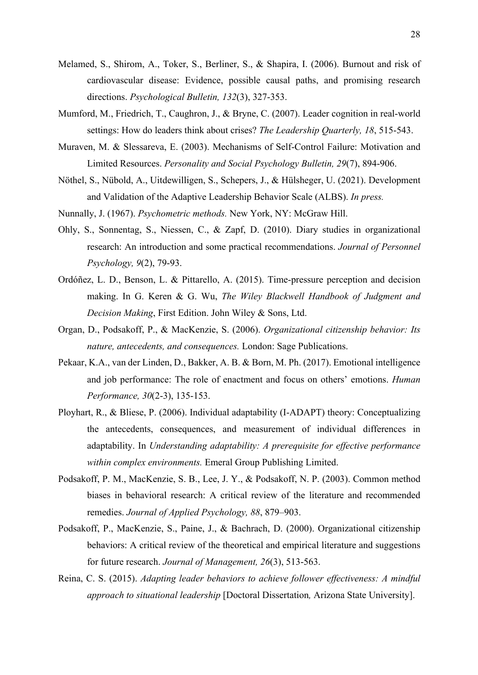- Melamed, S., Shirom, A., Toker, S., Berliner, S., & Shapira, I. (2006). Burnout and risk of cardiovascular disease: Evidence, possible causal paths, and promising research directions. *Psychological Bulletin, 132*(3), 327-353.
- Mumford, M., Friedrich, T., Caughron, J., & Bryne, C. (2007). Leader cognition in real-world settings: How do leaders think about crises? *The Leadership Quarterly, 18*, 515-543.
- Muraven, M. & Slessareva, E. (2003). Mechanisms of Self-Control Failure: Motivation and Limited Resources. *Personality and Social Psychology Bulletin, 29*(7), 894-906.
- Nöthel, S., Nübold, A., Uitdewilligen, S., Schepers, J., & Hülsheger, U. (2021). Development and Validation of the Adaptive Leadership Behavior Scale (ALBS). *In press.*
- Nunnally, J. (1967). *Psychometric methods.* New York, NY: McGraw Hill.
- Ohly, S., Sonnentag, S., Niessen, C., & Zapf, D. (2010). Diary studies in organizational research: An introduction and some practical recommendations. *Journal of Personnel Psychology, 9*(2), 79-93.
- Ordóñez, L. D., Benson, L. & Pittarello, A. (2015). Time‐pressure perception and decision making. In G. Keren & G. Wu, *The Wiley Blackwell Handbook of Judgment and Decision Making*, First Edition. John Wiley & Sons, Ltd.
- Organ, D., Podsakoff, P., & MacKenzie, S. (2006). *Organizational citizenship behavior: Its nature, antecedents, and consequences.* London: Sage Publications.
- Pekaar, K.A., van der Linden, D., Bakker, A. B. & Born, M. Ph. (2017). Emotional intelligence and job performance: The role of enactment and focus on others' emotions. *Human Performance, 30*(2-3), 135-153.
- Ployhart, R., & Bliese, P. (2006). Individual adaptability (I-ADAPT) theory: Conceptualizing the antecedents, consequences, and measurement of individual differences in adaptability. In *Understanding adaptability: A prerequisite for effective performance within complex environments.* Emeral Group Publishing Limited.
- Podsakoff, P. M., MacKenzie, S. B., Lee, J. Y., & Podsakoff, N. P. (2003). Common method biases in behavioral research: A critical review of the literature and recommended remedies. *Journal of Applied Psychology, 88*, 879–903.
- Podsakoff, P., MacKenzie, S., Paine, J., & Bachrach, D. (2000). Organizational citizenship behaviors: A critical review of the theoretical and empirical literature and suggestions for future research. *Journal of Management, 26*(3), 513-563.
- Reina, C. S. (2015). *Adapting leader behaviors to achieve follower effectiveness: A mindful approach to situational leadership* [Doctoral Dissertation*,* Arizona State University].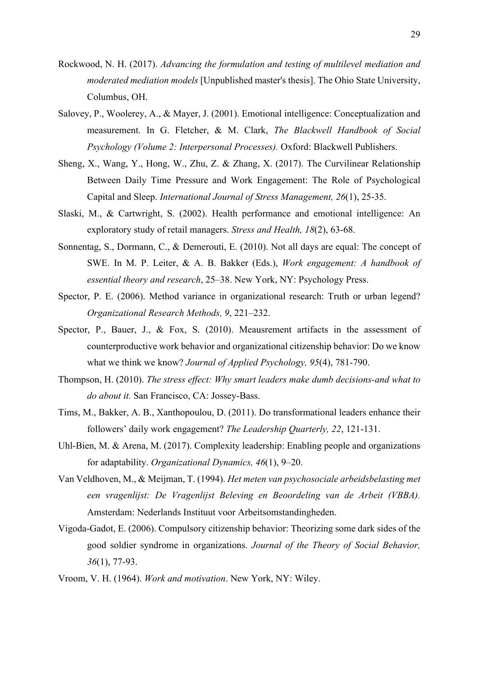- Rockwood, N. H. (2017). *Advancing the formulation and testing of multilevel mediation and moderated mediation models* [Unpublished master's thesis]. The Ohio State University, Columbus, OH.
- Salovey, P., Woolerey, A., & Mayer, J. (2001). Emotional intelligence: Conceptualization and measurement. In G. Fletcher, & M. Clark, *The Blackwell Handbook of Social Psychology (Volume 2: Interpersonal Processes).* Oxford: Blackwell Publishers.
- Sheng, X., Wang, Y., Hong, W., Zhu, Z. & Zhang, X. (2017). The Curvilinear Relationship Between Daily Time Pressure and Work Engagement: The Role of Psychological Capital and Sleep. *International Journal of Stress Management, 26*(1), 25-35.
- Slaski, M., & Cartwright, S. (2002). Health performance and emotional intelligence: An exploratory study of retail managers. *Stress and Health, 18*(2), 63-68.
- Sonnentag, S., Dormann, C., & Demerouti, E. (2010). Not all days are equal: The concept of SWE. In M. P. Leiter, & A. B. Bakker (Eds.), *Work engagement: A handbook of essential theory and research*, 25–38. New York, NY: Psychology Press.
- Spector, P. E. (2006). Method variance in organizational research: Truth or urban legend? *Organizational Research Methods, 9*, 221–232.
- Spector, P., Bauer, J., & Fox, S. (2010). Meausrement artifacts in the assessment of counterproductive work behavior and organizational citizenship behavior: Do we know what we think we know? *Journal of Applied Psychology, 95*(4), 781-790.
- Thompson, H. (2010). *The stress effect: Why smart leaders make dumb decisions-and what to do about it.* San Francisco, CA: Jossey-Bass.
- Tims, M., Bakker, A. B., Xanthopoulou, D. (2011). Do transformational leaders enhance their followers' daily work engagement? *The Leadership Quarterly, 22*, 121-131.
- Uhl-Bien, M. & Arena, M. (2017). Complexity leadership: Enabling people and organizations for adaptability. *Organizational Dynamics, 46*(1), 9–20.
- Van Veldhoven, M., & Meijman, T. (1994). *Het meten van psychosociale arbeidsbelasting met een vragenlijst: De Vragenlijst Beleving en Beoordeling van de Arbeit (VBBA).* Amsterdam: Nederlands Instituut voor Arbeitsomstandingheden.
- Vigoda-Gadot, E. (2006). Compulsory citizenship behavior: Theorizing some dark sides of the good soldier syndrome in organizations. *Journal of the Theory of Social Behavior, 36*(1), 77-93.
- Vroom, V. H. (1964). *Work and motivation*. New York, NY: Wiley.